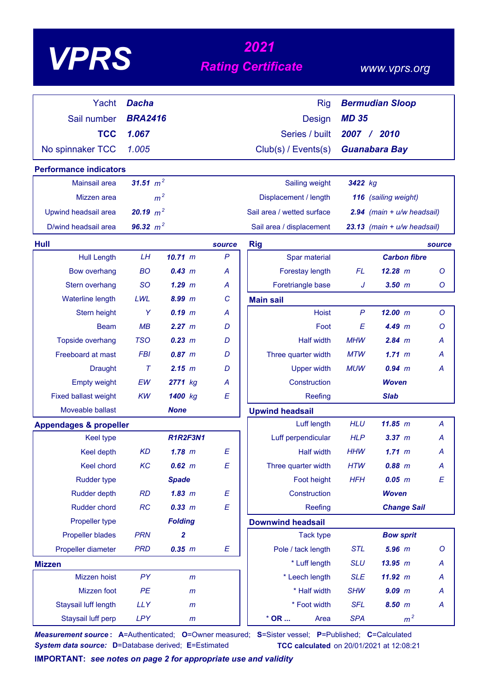# *<sup>2021</sup> VPRS Rating Certificate*

### *www.vprs.org*

| Yacht                             | <b>Dacha</b>   |                 |              | <b>Rig</b>                 |              | <b>Bermudian Sloop</b>         |         |
|-----------------------------------|----------------|-----------------|--------------|----------------------------|--------------|--------------------------------|---------|
| Sail number                       | <b>BRA2416</b> |                 |              | <b>Design</b>              | <b>MD 35</b> |                                |         |
| <b>TCC</b>                        | 1.067          |                 |              | Series / built             |              | 2007 / 2010                    |         |
|                                   |                |                 |              |                            |              |                                |         |
| No spinnaker TCC                  | 1.005          |                 |              | Club(s) / Events(s)        |              | <b>Guanabara Bay</b>           |         |
| <b>Performance indicators</b>     |                |                 |              |                            |              |                                |         |
| Mainsail area                     | 31.51 $m^2$    |                 |              | Sailing weight             | 3422 kg      |                                |         |
| Mizzen area                       | m <sup>2</sup> |                 |              | Displacement / length      |              | 116 (sailing weight)           |         |
| Upwind headsail area              | 20.19 $m^2$    |                 |              | Sail area / wetted surface |              | $2.94$ (main + $u/w$ headsail) |         |
| D/wind headsail area              | 96.32 $m^2$    |                 |              | Sail area / displacement   |              | 23.13 (main + u/w headsail)    |         |
| <b>Hull</b>                       |                |                 | source       | <b>Rig</b>                 |              |                                | source  |
| <b>Hull Length</b>                | <b>LH</b>      | 10.71 m         | $\mathsf{P}$ | Spar material              |              | <b>Carbon fibre</b>            |         |
| <b>Bow overhang</b>               | <b>BO</b>      | 0.43 m          | A            | Forestay length            | FL.          | $12.28$ m                      | O       |
| Stern overhang                    | <b>SO</b>      | $1.29$ $m$      | A            | Foretriangle base          | J            | $3.50$ $m$                     | O       |
| Waterline length                  | LWL            | 8.99 m          | C            | <b>Main sail</b>           |              |                                |         |
| Stern height                      | Y              | $0.19$ $m$      | A            | <b>Hoist</b>               | $\mathsf{P}$ | 12.00 m                        | $\circ$ |
| <b>Beam</b>                       | MB             | 2.27 m          | D            | Foot                       | E            | 4.49~m                         | O       |
| <b>Topside overhang</b>           | <b>TSO</b>     | 0.23 m          | D            | <b>Half width</b>          | <b>MHW</b>   | $2.84$ m                       | А       |
| Freeboard at mast                 | <b>FBI</b>     | $0.87$ m        | D            | Three quarter width        | <b>MTW</b>   | 1.71~m                         | А       |
| <b>Draught</b>                    | $\tau$         | 2.15~m          | D            | <b>Upper width</b>         | <b>MUW</b>   | 0.94~m                         | А       |
| <b>Empty weight</b>               | EW             | 2771 kg         | Α            | Construction               |              | <b>Woven</b>                   |         |
| <b>Fixed ballast weight</b>       | <b>KW</b>      | 1400 kg         | E            | Reefing                    |              | <b>Slab</b>                    |         |
| Moveable ballast                  |                | <b>None</b>     |              | <b>Upwind headsail</b>     |              |                                |         |
| <b>Appendages &amp; propeller</b> |                |                 |              | Luff length                | <b>HLU</b>   | 11.85 m                        | A       |
| <b>Keel type</b>                  |                | <b>R1R2F3N1</b> |              | Luff perpendicular         | <b>HLP</b>   | 3.37~m                         | А       |
| Keel depth                        | <b>KD</b>      | $1.78$ m        | E            | <b>Half width</b>          | <b>HHW</b>   | 1.71~m                         | A       |
| Keel chord                        | KC             | $0.62 \, m$     | E            | Three quarter width        | <b>HTW</b>   | $0.88$ m                       | A       |
| <b>Rudder type</b>                |                | <b>Spade</b>    |              | Foot height                | <b>HFH</b>   | $0.05$ $m$                     | Ε       |
| <b>Rudder depth</b>               | RD             | $1.83$ $m$      | E            | Construction               |              | <b>Woven</b>                   |         |
| <b>Rudder chord</b>               | RC             | 0.33 m          | E            | Reefing                    |              | <b>Change Sail</b>             |         |
| Propeller type                    |                | <b>Folding</b>  |              | <b>Downwind headsail</b>   |              |                                |         |
| Propeller blades                  | <b>PRN</b>     | 2               |              | <b>Tack type</b>           |              | <b>Bow sprit</b>               |         |
| Propeller diameter                | <b>PRD</b>     | 0.35 m          | E            | Pole / tack length         | <b>STL</b>   | $5.96$ $m$                     | O       |
| <b>Mizzen</b>                     |                |                 |              | * Luff length              | <b>SLU</b>   | 13.95 m                        | A       |
| Mizzen hoist                      | PY             | $\mathsf{m}$    |              | * Leech length             | <b>SLE</b>   | 11.92 m                        | A       |
| Mizzen foot                       | PE             | $\mathsf{m}$    |              | * Half width               | <b>SHW</b>   | $9.09$ m                       | A       |
| Staysail luff length              | <b>LLY</b>     | $\mathsf{m}$    |              | * Foot width               | <b>SFL</b>   | 8.50 m                         | A       |
| Staysail luff perp                | LPY            | m               |              | $*$ OR<br>Area             | <b>SPA</b>   | m <sup>2</sup>                 |         |

*Measurement source* **: A**=Authenticated; **O**=Owner measured; **S**=Sister vessel; **P**=Published; **C**=Calculated *System data source:* **D**=Database derived; **E**=Estimated **TCC calculated** on 20/01/2021 at 12:08:21

**IMPORTANT:** *see notes on page 2 for appropriate use and validity*